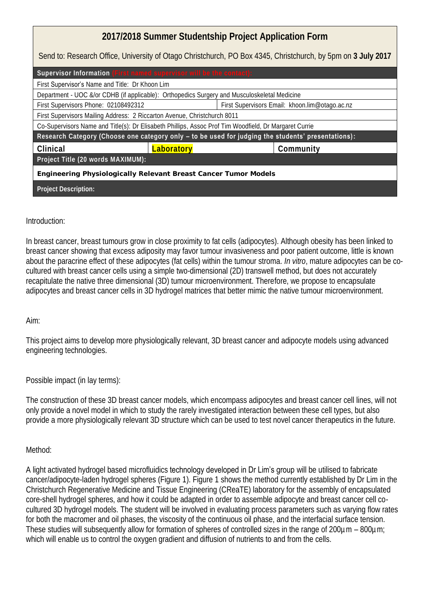| 2017/2018 Summer Studentship Project Application Form                                                        |                                                |
|--------------------------------------------------------------------------------------------------------------|------------------------------------------------|
| Send to: Research Office, University of Otago Christchurch, PO Box 4345, Christchurch, by 5pm on 3 July 2017 |                                                |
| Supervisor Information (First named supervisor will be the contact):                                         |                                                |
| First Supervisor's Name and Title: Dr Khoon Lim                                                              |                                                |
| Department - UOC &/or CDHB (if applicable): Orthopedics Surgery and Musculoskeletal Medicine                 |                                                |
| First Supervisors Phone: 02108492312                                                                         | First Supervisors Email: khoon.lim@otago.ac.nz |
| First Supervisors Mailing Address: 2 Riccarton Avenue, Christchurch 8011                                     |                                                |
| Co-Supervisors Name and Title(s): Dr Elisabeth Phillips, Assoc Prof Tim Woodfield, Dr Margaret Currie        |                                                |
| Research Category (Choose one category only - to be used for judging the students' presentations):           |                                                |
| Clinical<br>Laboratory                                                                                       | Community                                      |
| Project Title (20 words MAXIMUM):                                                                            |                                                |
| Engineering Physiologically Relevant Breast Cancer Tumor Models                                              |                                                |
| Project Description:                                                                                         |                                                |

## Introduction:

In breast cancer, breast tumours grow in close proximity to fat cells (adipocytes). Although obesity has been linked to breast cancer showing that excess adiposity may favor tumour invasiveness and poor patient outcome, little is known about the paracrine effect of these adipocytes (fat cells) within the tumour stroma. *In vitro*, mature adipocytes can be cocultured with breast cancer cells using a simple two-dimensional (2D) transwell method, but does not accurately recapitulate the native three dimensional (3D) tumour microenvironment. Therefore, we propose to encapsulate adipocytes and breast cancer cells in 3D hydrogel matrices that better mimic the native tumour microenvironment.

## Aim:

This project aims to develop more physiologically relevant, 3D breast cancer and adipocyte models using advanced engineering technologies.

Possible impact (in lay terms):

The construction of these 3D breast cancer models, which encompass adipocytes and breast cancer cell lines, will not only provide a novel model in which to study the rarely investigated interaction between these cell types, but also provide a more physiologically relevant 3D structure which can be used to test novel cancer therapeutics in the future.

## Method:

A light activated hydrogel based microfluidics technology developed in Dr Lim's group will be utilised to fabricate cancer/adipocyte-laden hydrogel spheres (Figure 1). Figure 1 shows the method currently established by Dr Lim in the Christchurch Regenerative Medicine and Tissue Engineering (CReaTE) laboratory for the assembly of encapsulated core-shell hydrogel spheres, and how it could be adapted in order to assemble adipocyte and breast cancer cell cocultured 3D hydrogel models. The student will be involved in evaluating process parameters such as varying flow rates for both the macromer and oil phases, the viscosity of the continuous oil phase, and the interfacial surface tension. These studies will subsequently allow for formation of spheres of controlled sizes in the range of 200µm – 800µm; which will enable us to control the oxygen gradient and diffusion of nutrients to and from the cells.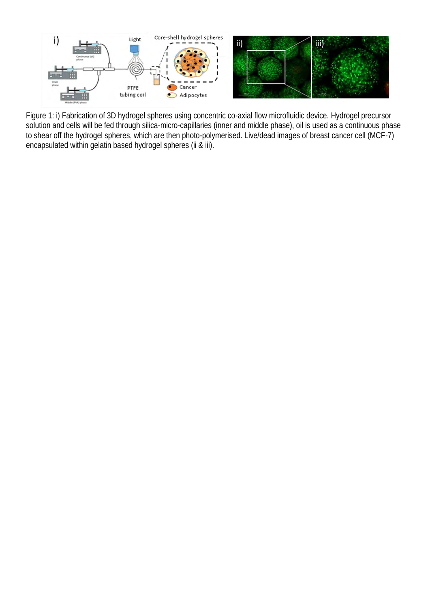

Figure 1: i) Fabrication of 3D hydrogel spheres using concentric co-axial flow microfluidic device. Hydrogel precursor solution and cells will be fed through silica-micro-capillaries (inner and middle phase), oil is used as a continuous phase to shear off the hydrogel spheres, which are then photo-polymerised. Live/dead images of breast cancer cell (MCF-7) encapsulated within gelatin based hydrogel spheres (ii & iii).